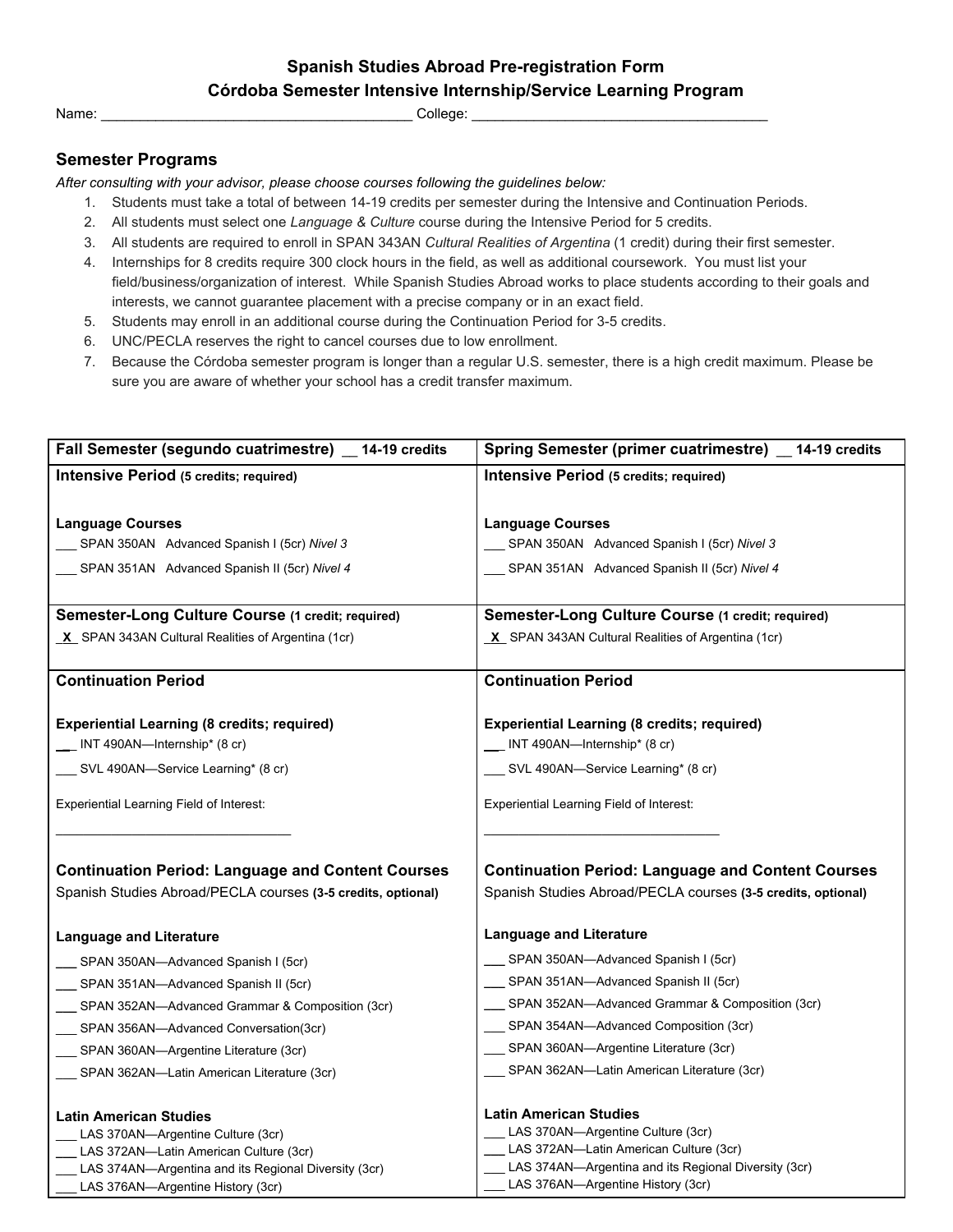## **Spanish Studies Abroad Pre-registration Form Córdoba Semester Intensive Internship/Service Learning Program**

Name: \_\_\_\_\_\_\_\_\_\_\_\_\_\_\_\_\_\_\_\_\_\_\_\_\_\_\_\_\_\_\_\_\_\_\_\_\_\_\_\_ College: \_\_\_\_\_\_\_\_\_\_\_\_\_\_\_\_\_\_\_\_\_\_\_\_\_\_\_\_\_\_\_\_\_\_\_\_\_\_

## **Semester Programs**

*After consulting with your advisor, please choose courses following the guidelines below:*

- 1. Students must take a total of between 14-19 credits per semester during the Intensive and Continuation Periods.
- 2. All students must select one *Language & Culture* course during the Intensive Period for 5 credits.
- 3. All students are required to enroll in SPAN 343AN *Cultural Realities of Argentina* (1 credit) during their first semester.
- 4. Internships for 8 credits require 300 clock hours in the field, as well as additional coursework. You must list your field/business/organization of interest. While Spanish Studies Abroad works to place students according to their goals and interests, we cannot guarantee placement with a precise company or in an exact field.
- 5. Students may enroll in an additional course during the Continuation Period for 3-5 credits.
- 6. UNC/PECLA reserves the right to cancel courses due to low enrollment.
- 7. Because the Córdoba semester program is longer than a regular U.S. semester, there is a high credit maximum. Please be sure you are aware of whether your school has a credit transfer maximum.

| Fall Semester (segundo cuatrimestre) 14-19 credits           | Spring Semester (primer cuatrimestre) _ 14-19 credits        |
|--------------------------------------------------------------|--------------------------------------------------------------|
| Intensive Period (5 credits; required)                       | Intensive Period (5 credits; required)                       |
|                                                              |                                                              |
| <b>Language Courses</b>                                      | <b>Language Courses</b>                                      |
| SPAN 350AN Advanced Spanish I (5cr) Nivel 3                  | __ SPAN 350AN Advanced Spanish I (5cr) Nivel 3               |
| SPAN 351AN Advanced Spanish II (5cr) Nivel 4                 | SPAN 351AN Advanced Spanish II (5cr) Nivel 4                 |
|                                                              |                                                              |
| Semester-Long Culture Course (1 credit; required)            | Semester-Long Culture Course (1 credit; required)            |
| X SPAN 343AN Cultural Realities of Argentina (1cr)           | $X$ SPAN 343AN Cultural Realities of Argentina (1cr)         |
|                                                              |                                                              |
| <b>Continuation Period</b>                                   | <b>Continuation Period</b>                                   |
|                                                              |                                                              |
| <b>Experiential Learning (8 credits; required)</b>           | <b>Experiential Learning (8 credits; required)</b>           |
| INT 490AN-Internship* (8 cr)                                 | __ INT 490AN-Internship* (8 cr)                              |
| __ SVL 490AN-Service Learning* (8 cr)                        | __ SVL 490AN-Service Learning* (8 cr)                        |
| <b>Experiential Learning Field of Interest:</b>              | <b>Experiential Learning Field of Interest:</b>              |
|                                                              |                                                              |
|                                                              |                                                              |
| <b>Continuation Period: Language and Content Courses</b>     | <b>Continuation Period: Language and Content Courses</b>     |
| Spanish Studies Abroad/PECLA courses (3-5 credits, optional) | Spanish Studies Abroad/PECLA courses (3-5 credits, optional) |
|                                                              |                                                              |
| <b>Language and Literature</b>                               | Language and Literature                                      |
| SPAN 350AN—Advanced Spanish I (5cr)                          | SPAN 350AN—Advanced Spanish I (5cr)                          |
| SPAN 351AN—Advanced Spanish II (5cr)                         | __ SPAN 351AN-Advanced Spanish II (5cr)                      |
| __ SPAN 352AN-Advanced Grammar & Composition (3cr)           | SPAN 352AN-Advanced Grammar & Composition (3cr)              |
| SPAN 356AN-Advanced Conversation(3cr)                        | __ SPAN 354AN-Advanced Composition (3cr)                     |
| SPAN 360AN—Argentine Literature (3cr)                        | ___ SPAN 360AN-Argentine Literature (3cr)                    |
| __ SPAN 362AN-Latin American Literature (3cr)                | __ SPAN 362AN-Latin American Literature (3cr)                |
| <b>Latin American Studies</b>                                | <b>Latin American Studies</b>                                |
| LAS 370AN-Argentine Culture (3cr)                            | LAS 370AN-Argentine Culture (3cr)                            |
| LAS 372AN-Latin American Culture (3cr)                       | LAS 372AN-Latin American Culture (3cr)                       |
| LAS 374AN-Argentina and its Regional Diversity (3cr)         | LAS 374AN-Argentina and its Regional Diversity (3cr)         |
| LAS 376AN-Argentine History (3cr)                            | LAS 376AN-Argentine History (3cr)                            |